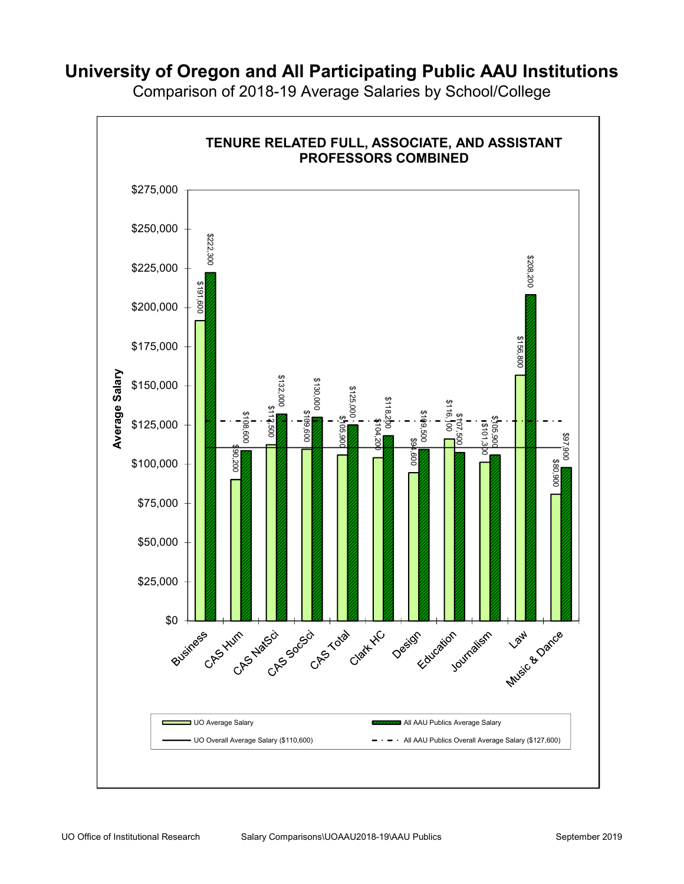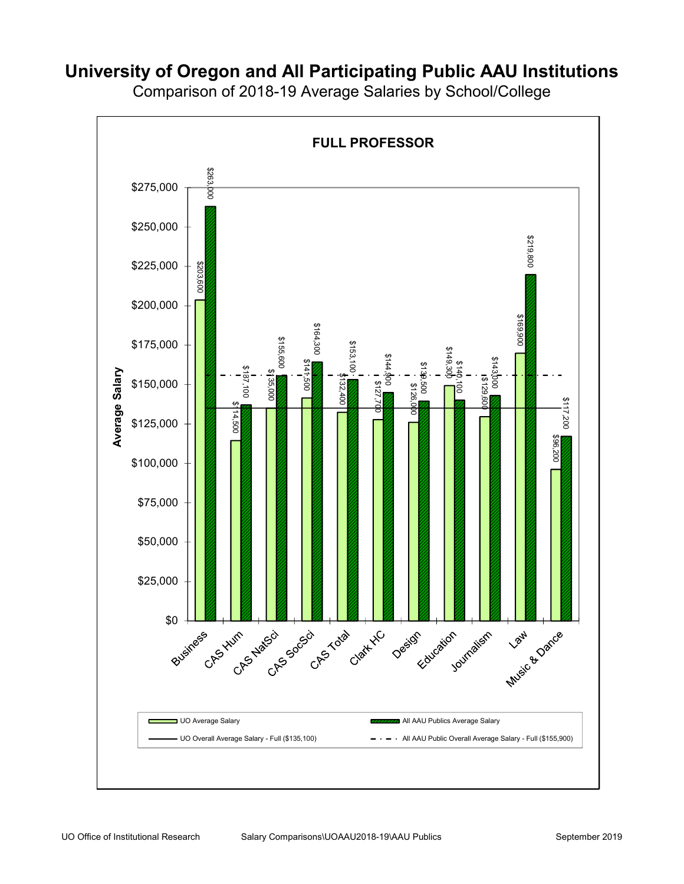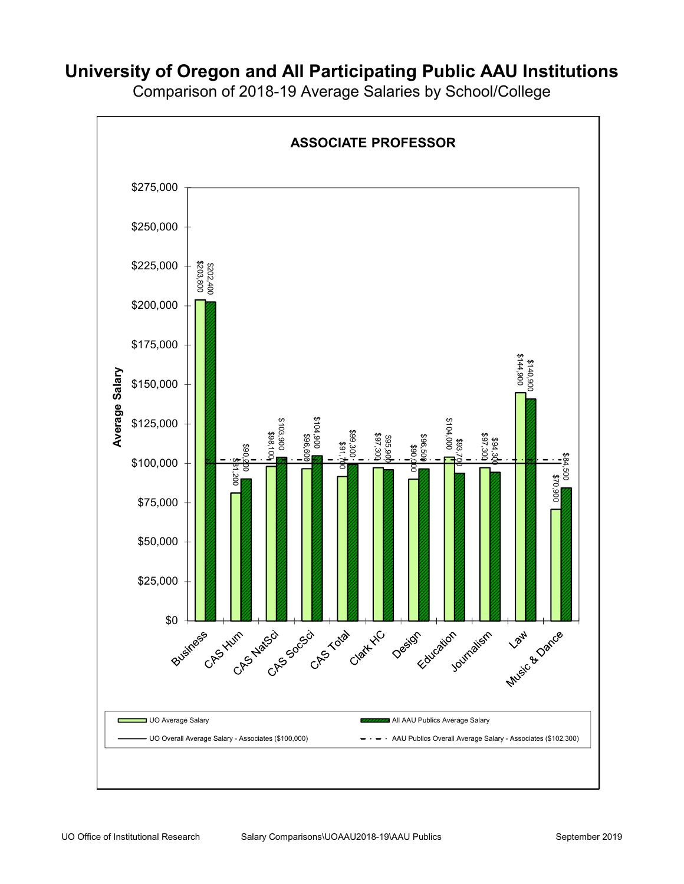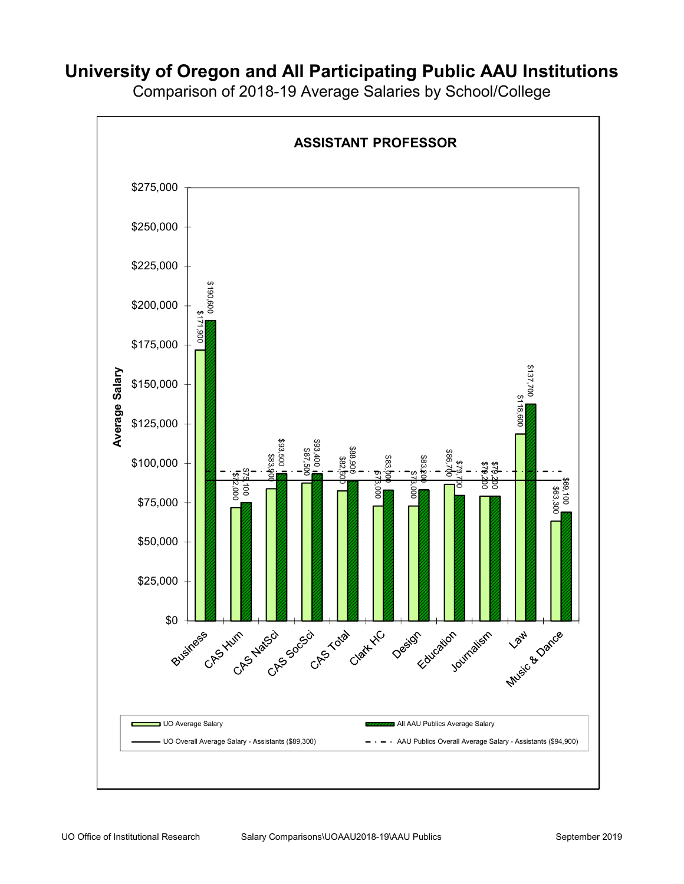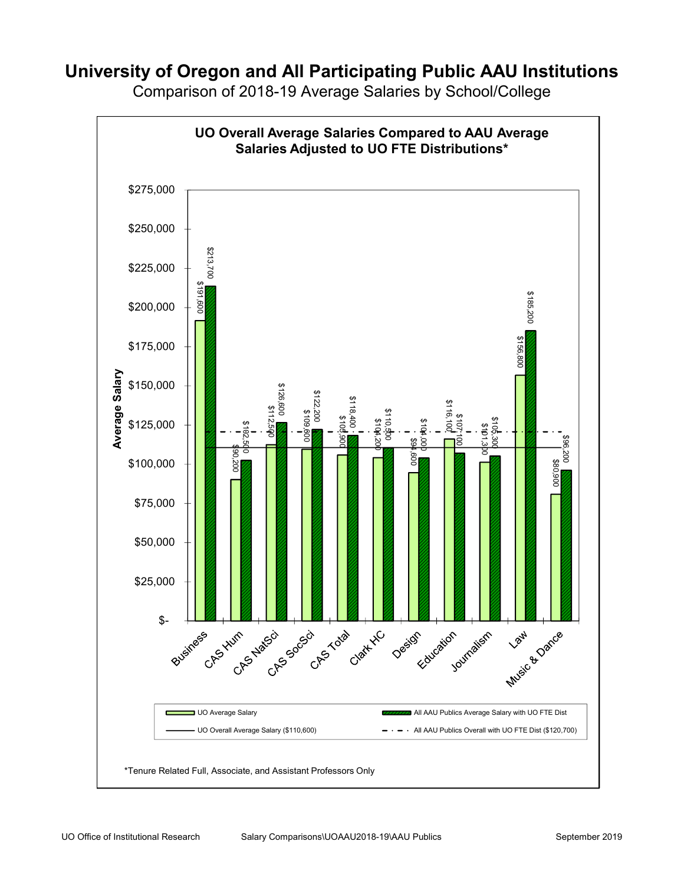